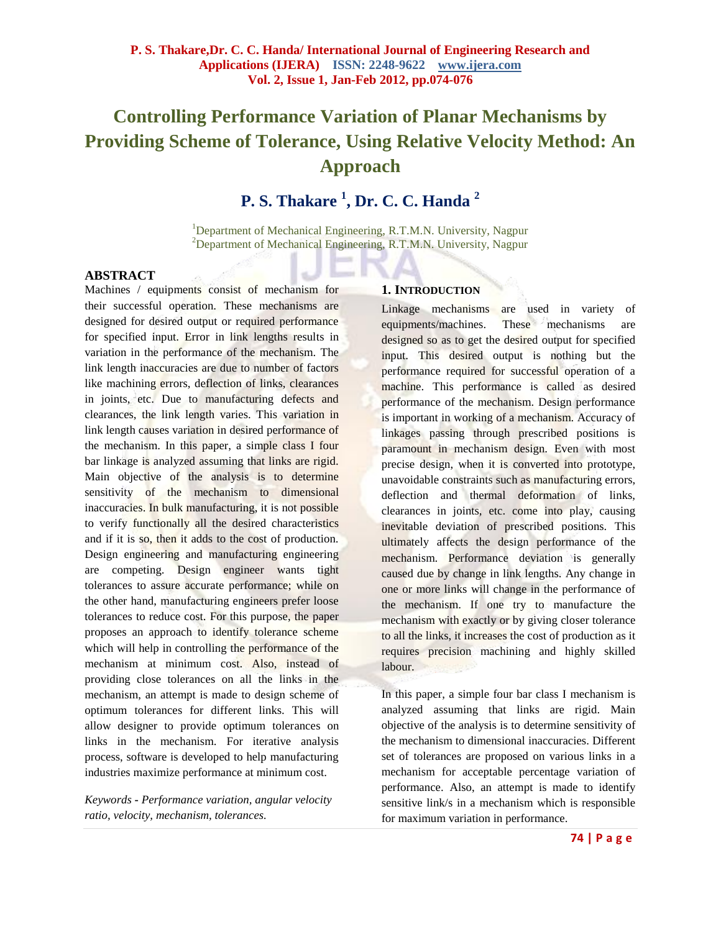# **Controlling Performance Variation of Planar Mechanisms by Providing Scheme of Tolerance, Using Relative Velocity Method: An Approach**

## **P. S. Thakare <sup>1</sup> , Dr. C. C. Handa <sup>2</sup>**

<sup>1</sup>Department of Mechanical Engineering, R.T.M.N. University, Nagpur <sup>2</sup>Department of Mechanical Engineering, R.T.M.N. University, Nagpur

#### **ABSTRACT**

Machines / equipments consist of mechanism for their successful operation. These mechanisms are designed for desired output or required performance for specified input. Error in link lengths results in variation in the performance of the mechanism. The link length inaccuracies are due to number of factors like machining errors, deflection of links, clearances in joints, etc. Due to manufacturing defects and clearances, the link length varies. This variation in link length causes variation in desired performance of the mechanism. In this paper, a simple class I four bar linkage is analyzed assuming that links are rigid. Main objective of the analysis is to determine sensitivity of the mechanism to dimensional inaccuracies. In bulk manufacturing, it is not possible to verify functionally all the desired characteristics and if it is so, then it adds to the cost of production. Design engineering and manufacturing engineering are competing. Design engineer wants tight tolerances to assure accurate performance; while on the other hand, manufacturing engineers prefer loose tolerances to reduce cost. For this purpose, the paper proposes an approach to identify tolerance scheme which will help in controlling the performance of the mechanism at minimum cost. Also, instead of providing close tolerances on all the links in the mechanism, an attempt is made to design scheme of optimum tolerances for different links. This will allow designer to provide optimum tolerances on links in the mechanism. For iterative analysis process, software is developed to help manufacturing industries maximize performance at minimum cost.

*Keywords* **-** *Performance variation, angular velocity ratio, velocity, mechanism, tolerances.*

#### **1. INTRODUCTION**

Linkage mechanisms are used in variety of equipments/machines. These mechanisms are designed so as to get the desired output for specified input. This desired output is nothing but the performance required for successful operation of a machine. This performance is called as desired performance of the mechanism. Design performance is important in working of a mechanism. Accuracy of linkages passing through prescribed positions is paramount in mechanism design. Even with most precise design, when it is converted into prototype, unavoidable constraints such as manufacturing errors, deflection and thermal deformation of links, clearances in joints, etc. come into play, causing inevitable deviation of prescribed positions. This ultimately affects the design performance of the mechanism. Performance deviation is generally caused due by change in link lengths. Any change in one or more links will change in the performance of the mechanism. If one try to manufacture the mechanism with exactly or by giving closer tolerance to all the links, it increases the cost of production as it requires precision machining and highly skilled labour.

In this paper, a simple four bar class I mechanism is analyzed assuming that links are rigid. Main objective of the analysis is to determine sensitivity of the mechanism to dimensional inaccuracies. Different set of tolerances are proposed on various links in a mechanism for acceptable percentage variation of performance. Also, an attempt is made to identify sensitive link/s in a mechanism which is responsible for maximum variation in performance.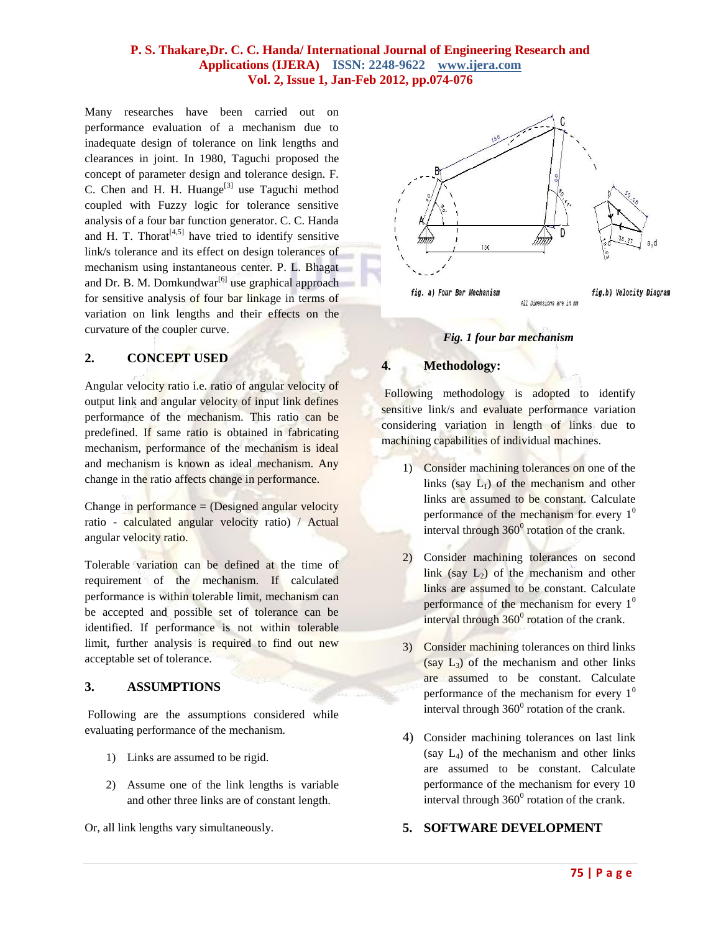## **P. S. Thakare,Dr. C. C. Handa/ International Journal of Engineering Research and Applications (IJERA) ISSN: 2248-9622 www.ijera.com Vol. 2, Issue 1, Jan-Feb 2012, pp.074-076**

Many researches have been carried out on performance evaluation of a mechanism due to inadequate design of tolerance on link lengths and clearances in joint. In 1980, Taguchi proposed the concept of parameter design and tolerance design. F. C. Chen and H. H. Huange $^{[3]}$  use Taguchi method coupled with Fuzzy logic for tolerance sensitive analysis of a four bar function generator. C. C. Handa and H. T. Thorat<sup> $[4,5]$ </sup> have tried to identify sensitive link/s tolerance and its effect on design tolerances of mechanism using instantaneous center. P. L. Bhagat and Dr. B. M. Domkundwar<sup>[6]</sup> use graphical approach for sensitive analysis of four bar linkage in terms of variation on link lengths and their effects on the curvature of the coupler curve.

## **2. CONCEPT USED**

Angular velocity ratio i.e. ratio of angular velocity of output link and angular velocity of input link defines performance of the mechanism. This ratio can be predefined. If same ratio is obtained in fabricating mechanism, performance of the mechanism is ideal and mechanism is known as ideal mechanism. Any change in the ratio affects change in performance.

Change in performance  $=$  (Designed angular velocity ratio - calculated angular velocity ratio) / Actual angular velocity ratio.

Tolerable variation can be defined at the time of requirement of the mechanism. If calculated performance is within tolerable limit, mechanism can be accepted and possible set of tolerance can be identified. If performance is not within tolerable limit, further analysis is required to find out new acceptable set of tolerance.

## **3. ASSUMPTIONS**

Following are the assumptions considered while evaluating performance of the mechanism.

- 1) Links are assumed to be rigid.
- 2) Assume one of the link lengths is variable and other three links are of constant length.

Or, all link lengths vary simultaneously.



## *Fig. 1 four bar mechanism*

## **4. Methodology:**

Following methodology is adopted to identify sensitive link/s and evaluate performance variation considering variation in length of links due to machining capabilities of individual machines.

- 1) Consider machining tolerances on one of the links (say  $L_1$ ) of the mechanism and other links are assumed to be constant. Calculate performance of the mechanism for every  $1<sup>0</sup>$ interval through  $360^{\circ}$  rotation of the crank.
- 2) Consider machining tolerances on second link  $(say L<sub>2</sub>)$  of the mechanism and other links are assumed to be constant. Calculate performance of the mechanism for every  $1<sup>0</sup>$ interval through  $360^{\circ}$  rotation of the crank.
- 3) Consider machining tolerances on third links  $(say L<sub>3</sub>)$  of the mechanism and other links are assumed to be constant. Calculate performance of the mechanism for every  $1<sup>0</sup>$ interval through  $360^{\circ}$  rotation of the crank.
- 4) Consider machining tolerances on last link (say  $L_4$ ) of the mechanism and other links are assumed to be constant. Calculate performance of the mechanism for every 10 interval through  $360^0$  rotation of the crank.

## **5. SOFTWARE DEVELOPMENT**